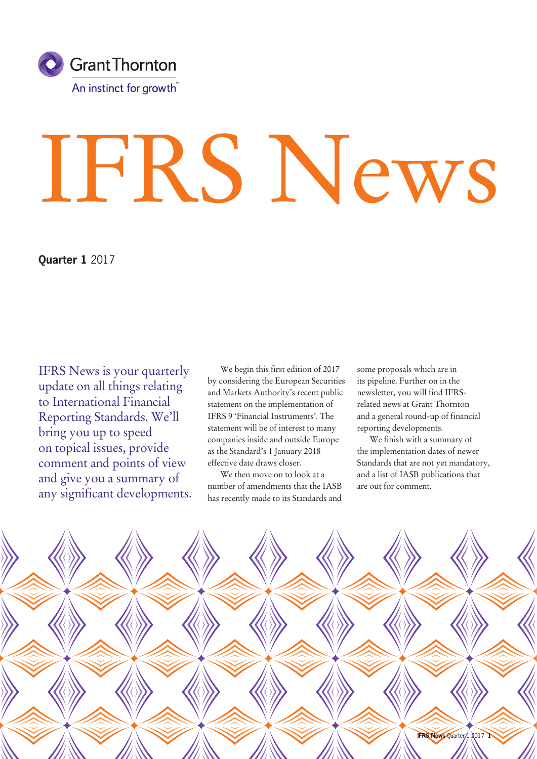

# IFRS News

**Quarter 1** 2017

IFRS News is your quarterly update on all things relating to International Financial Reporting Standards. We'll bring you up to speed on topical issues, provide comment and points of view and give you a summary of any significant developments.

We begin this first edition of 2017 by considering the European Securities and Markets Authority's recent public statement on the implementation of IFRS 9 'Financial Instruments'. The statement will be of interest to many companies inside and outside Europe as the Standard's 1 January 2018 effective date draws closer.

We then move on to look at a number of amendments that the IASB has recently made to its Standards and

some proposals which are in its pipeline. Further on in the newsletter, you will find IFRSrelated news at Grant Thornton and a general round-up of financial reporting developments.

We finish with a summary of the implementation dates of newer Standards that are not yet mandatory, and a list of IASB publications that are out for comment.

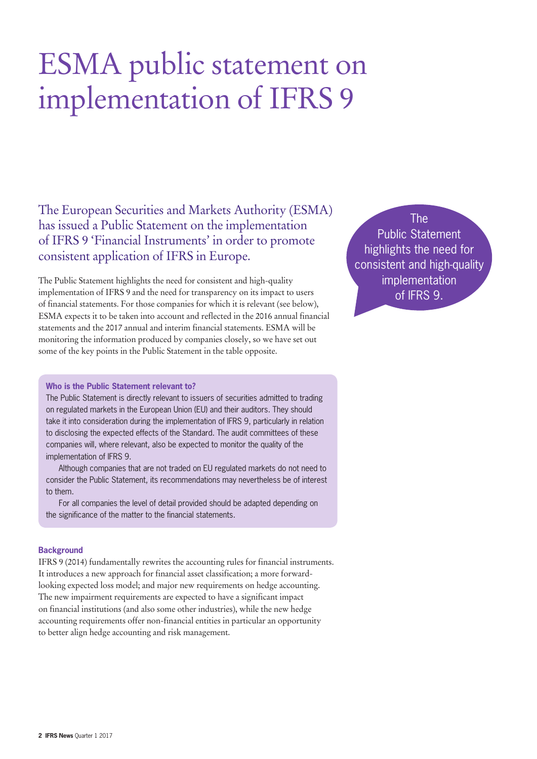# ESMA public statement on implementation of IFRS 9

The European Securities and Markets Authority (ESMA) has issued a Public Statement on the implementation of IFRS 9 'Financial Instruments' in order to promote consistent application of IFRS in Europe.

The Public Statement highlights the need for consistent and high-quality implementation of IFRS 9 and the need for transparency on its impact to users of financial statements. For those companies for which it is relevant (see below), ESMA expects it to be taken into account and reflected in the 2016 annual financial statements and the 2017 annual and interim financial statements. ESMA will be monitoring the information produced by companies closely, so we have set out some of the key points in the Public Statement in the table opposite.

The Public Statement highlights the need for consistent and high-quality implementation of IFRS 9.

### **Who is the Public Statement relevant to?**

The Public Statement is directly relevant to issuers of securities admitted to trading on regulated markets in the European Union (EU) and their auditors. They should take it into consideration during the implementation of IFRS 9, particularly in relation to disclosing the expected effects of the Standard. The audit committees of these companies will, where relevant, also be expected to monitor the quality of the implementation of IFRS 9.

Although companies that are not traded on EU regulated markets do not need to consider the Public Statement, its recommendations may nevertheless be of interest to them.

For all companies the level of detail provided should be adapted depending on the significance of the matter to the financial statements.

### **Background**

IFRS 9 (2014) fundamentally rewrites the accounting rules for financial instruments. It introduces a new approach for financial asset classification; a more forwardlooking expected loss model; and major new requirements on hedge accounting. The new impairment requirements are expected to have a significant impact on financial institutions (and also some other industries), while the new hedge accounting requirements offer non-financial entities in particular an opportunity to better align hedge accounting and risk management.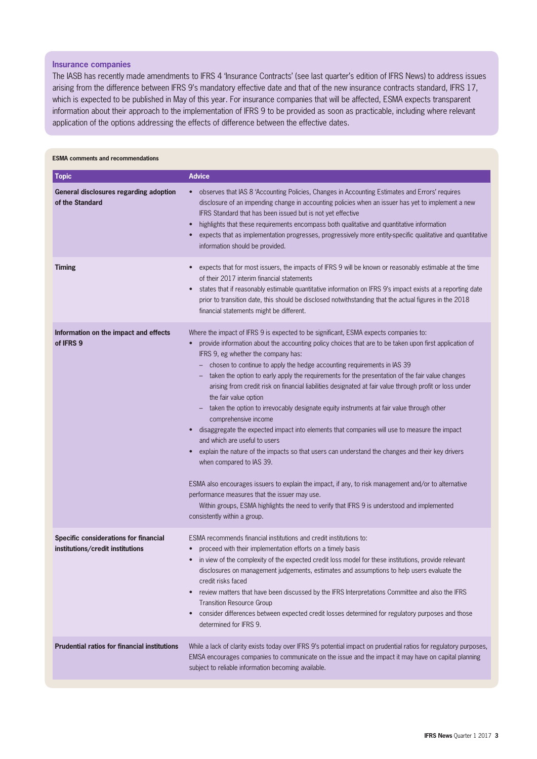### **Insurance companies**

The IASB has recently made amendments to IFRS 4 'Insurance Contracts' (see last quarter's edition of IFRS News) to address issues arising from the difference between IFRS 9's mandatory effective date and that of the new insurance contracts standard, IFRS 17, which is expected to be published in May of this year. For insurance companies that will be affected, ESMA expects transparent information about their approach to the implementation of IFRS 9 to be provided as soon as practicable, including where relevant application of the options addressing the effects of difference between the effective dates.

### **ESMA comments and recommendations**

| <b>Topic</b>                                                              | <b>Advice</b>                                                                                                                                                                                                                                                                                                                                                                                                                                                                                                                                                                                                                                                                                                                                                                                                                                                                                                                                                                                                                                                                                                                                                                                                                        |
|---------------------------------------------------------------------------|--------------------------------------------------------------------------------------------------------------------------------------------------------------------------------------------------------------------------------------------------------------------------------------------------------------------------------------------------------------------------------------------------------------------------------------------------------------------------------------------------------------------------------------------------------------------------------------------------------------------------------------------------------------------------------------------------------------------------------------------------------------------------------------------------------------------------------------------------------------------------------------------------------------------------------------------------------------------------------------------------------------------------------------------------------------------------------------------------------------------------------------------------------------------------------------------------------------------------------------|
| <b>General disclosures regarding adoption</b><br>of the Standard          | observes that IAS 8 'Accounting Policies, Changes in Accounting Estimates and Errors' requires<br>$\bullet$<br>disclosure of an impending change in accounting policies when an issuer has yet to implement a new<br>IFRS Standard that has been issued but is not yet effective<br>highlights that these requirements encompass both qualitative and quantitative information<br>expects that as implementation progresses, progressively more entity-specific qualitative and quantitative<br>information should be provided.                                                                                                                                                                                                                                                                                                                                                                                                                                                                                                                                                                                                                                                                                                      |
| <b>Timing</b>                                                             | expects that for most issuers, the impacts of IFRS 9 will be known or reasonably estimable at the time<br>$\bullet$<br>of their 2017 interim financial statements<br>states that if reasonably estimable quantitative information on IFRS 9's impact exists at a reporting date<br>prior to transition date, this should be disclosed notwithstanding that the actual figures in the 2018<br>financial statements might be different.                                                                                                                                                                                                                                                                                                                                                                                                                                                                                                                                                                                                                                                                                                                                                                                                |
| Information on the impact and effects<br>of IFRS 9                        | Where the impact of IFRS 9 is expected to be significant, ESMA expects companies to:<br>provide information about the accounting policy choices that are to be taken upon first application of<br>IFRS 9, eg whether the company has:<br>chosen to continue to apply the hedge accounting requirements in IAS 39<br>taken the option to early apply the requirements for the presentation of the fair value changes<br>arising from credit risk on financial liabilities designated at fair value through profit or loss under<br>the fair value option<br>taken the option to irrevocably designate equity instruments at fair value through other<br>comprehensive income<br>disaggregate the expected impact into elements that companies will use to measure the impact<br>and which are useful to users<br>explain the nature of the impacts so that users can understand the changes and their key drivers<br>when compared to IAS 39.<br>ESMA also encourages issuers to explain the impact, if any, to risk management and/or to alternative<br>performance measures that the issuer may use.<br>Within groups, ESMA highlights the need to verify that IFRS 9 is understood and implemented<br>consistently within a group. |
| Specific considerations for financial<br>institutions/credit institutions | ESMA recommends financial institutions and credit institutions to:<br>proceed with their implementation efforts on a timely basis<br>$\bullet$<br>in view of the complexity of the expected credit loss model for these institutions, provide relevant<br>disclosures on management judgements, estimates and assumptions to help users evaluate the<br>credit risks faced<br>review matters that have been discussed by the IFRS Interpretations Committee and also the IFRS<br><b>Transition Resource Group</b><br>consider differences between expected credit losses determined for regulatory purposes and those<br>determined for IFRS 9.                                                                                                                                                                                                                                                                                                                                                                                                                                                                                                                                                                                      |
| <b>Prudential ratios for financial institutions</b>                       | While a lack of clarity exists today over IFRS 9's potential impact on prudential ratios for regulatory purposes,<br>EMSA encourages companies to communicate on the issue and the impact it may have on capital planning<br>subject to reliable information becoming available.                                                                                                                                                                                                                                                                                                                                                                                                                                                                                                                                                                                                                                                                                                                                                                                                                                                                                                                                                     |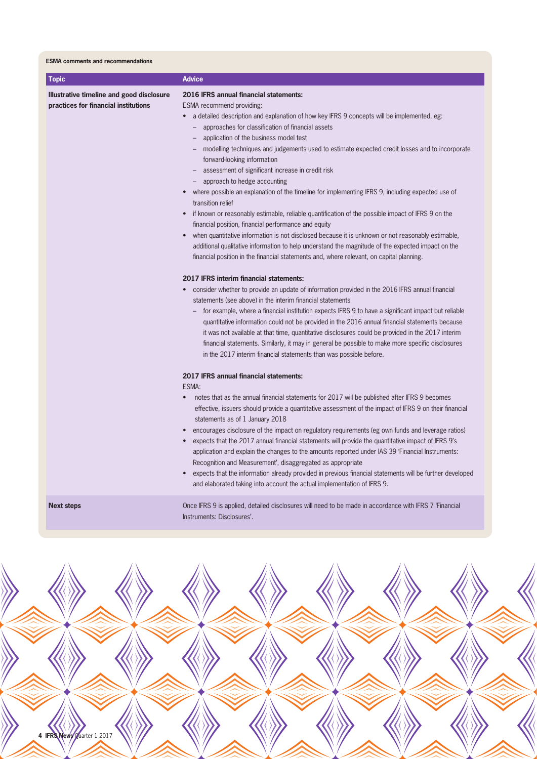|  |  |  | <b>ESMA</b> comments and recommendations |
|--|--|--|------------------------------------------|
|--|--|--|------------------------------------------|

| <b>Topic</b>                                                                      | <b>Advice</b>                                                                                                                                                                                                                                                                                                                                                                                                                                                                                                                                                                                                                                                                                                                                                                                            |
|-----------------------------------------------------------------------------------|----------------------------------------------------------------------------------------------------------------------------------------------------------------------------------------------------------------------------------------------------------------------------------------------------------------------------------------------------------------------------------------------------------------------------------------------------------------------------------------------------------------------------------------------------------------------------------------------------------------------------------------------------------------------------------------------------------------------------------------------------------------------------------------------------------|
| Illustrative timeline and good disclosure<br>practices for financial institutions | 2016 IFRS annual financial statements:<br>ESMA recommend providing:<br>• a detailed description and explanation of how key IFRS 9 concepts will be implemented, eg:<br>approaches for classification of financial assets<br>application of the business model test<br>$\overline{\phantom{a}}$<br>modelling techniques and judgements used to estimate expected credit losses and to incorporate<br>forward-looking information<br>assessment of significant increase in credit risk<br>$\overline{\phantom{0}}$<br>approach to hedge accounting<br>where possible an explanation of the timeline for implementing IFRS 9, including expected use of<br>$\bullet$<br>transition relief<br>if known or reasonably estimable, reliable quantification of the possible impact of IFRS 9 on the<br>$\bullet$ |
|                                                                                   | financial position, financial performance and equity<br>when quantitative information is not disclosed because it is unknown or not reasonably estimable,<br>additional qualitative information to help understand the magnitude of the expected impact on the<br>financial position in the financial statements and, where relevant, on capital planning.                                                                                                                                                                                                                                                                                                                                                                                                                                               |
|                                                                                   | 2017 IFRS interim financial statements:<br>consider whether to provide an update of information provided in the 2016 IFRS annual financial<br>statements (see above) in the interim financial statements<br>for example, where a financial institution expects IFRS 9 to have a significant impact but reliable<br>quantitative information could not be provided in the 2016 annual financial statements because<br>it was not available at that time, quantitative disclosures could be provided in the 2017 interim<br>financial statements. Similarly, it may in general be possible to make more specific disclosures<br>in the 2017 interim financial statements than was possible before.                                                                                                         |
|                                                                                   | 2017 IFRS annual financial statements:<br>ESMA:<br>notes that as the annual financial statements for 2017 will be published after IFRS 9 becomes<br>$\bullet$<br>effective, issuers should provide a quantitative assessment of the impact of IFRS 9 on their financial<br>statements as of 1 January 2018<br>encourages disclosure of the impact on regulatory requirements (eg own funds and leverage ratios)<br>expects that the 2017 annual financial statements will provide the quantitative impact of IFRS 9's<br>application and explain the changes to the amounts reported under IAS 39 'Financial Instruments:<br>Recognition and Measurement', disaggregated as appropriate                                                                                                                  |
| <b>Next steps</b>                                                                 | expects that the information already provided in previous financial statements will be further developed<br>and elaborated taking into account the actual implementation of IFRS 9.<br>Once IFRS 9 is applied, detailed disclosures will need to be made in accordance with IFRS 7 'Financial                                                                                                                                                                                                                                                                                                                                                                                                                                                                                                            |

Instruments: Disclosures'.

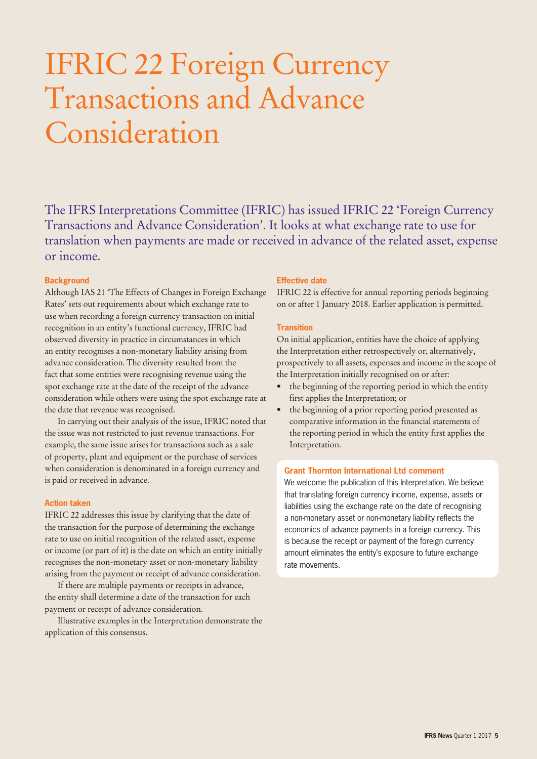# IFRIC 22 Foreign Currency Transactions and Advance Consideration

The IFRS Interpretations Committee (IFRIC) has issued IFRIC 22 'Foreign Currency Transactions and Advance Consideration'. It looks at what exchange rate to use for translation when payments are made or received in advance of the related asset, expense or income.

### **Background**

Although IAS 21 'The Effects of Changes in Foreign Exchange Rates' sets out requirements about which exchange rate to use when recording a foreign currency transaction on initial recognition in an entity's functional currency, IFRIC had observed diversity in practice in circumstances in which an entity recognises a non-monetary liability arising from advance consideration. The diversity resulted from the fact that some entities were recognising revenue using the spot exchange rate at the date of the receipt of the advance consideration while others were using the spot exchange rate at the date that revenue was recognised.

In carrying out their analysis of the issue, IFRIC noted that the issue was not restricted to just revenue transactions. For example, the same issue arises for transactions such as a sale of property, plant and equipment or the purchase of services when consideration is denominated in a foreign currency and is paid or received in advance.

### **Action taken**

IFRIC 22 addresses this issue by clarifying that the date of the transaction for the purpose of determining the exchange rate to use on initial recognition of the related asset, expense or income (or part of it) is the date on which an entity initially recognises the non-monetary asset or non-monetary liability arising from the payment or receipt of advance consideration.

If there are multiple payments or receipts in advance, the entity shall determine a date of the transaction for each payment or receipt of advance consideration.

Illustrative examples in the Interpretation demonstrate the application of this consensus.

### **Effective date**

IFRIC 22 is effective for annual reporting periods beginning on or after 1 January 2018. Earlier application is permitted.

### **Transition**

On initial application, entities have the choice of applying the Interpretation either retrospectively or, alternatively, prospectively to all assets, expenses and income in the scope of the Interpretation initially recognised on or after:

- the beginning of the reporting period in which the entity first applies the Interpretation; or
- the beginning of a prior reporting period presented as comparative information in the financial statements of the reporting period in which the entity first applies the Interpretation.

### **Grant Thornton International Ltd comment**

We welcome the publication of this Interpretation. We believe that translating foreign currency income, expense, assets or liabilities using the exchange rate on the date of recognising a non-monetary asset or non-monetary liability reflects the economics of advance payments in a foreign currency. This is because the receipt or payment of the foreign currency amount eliminates the entity's exposure to future exchange rate movements.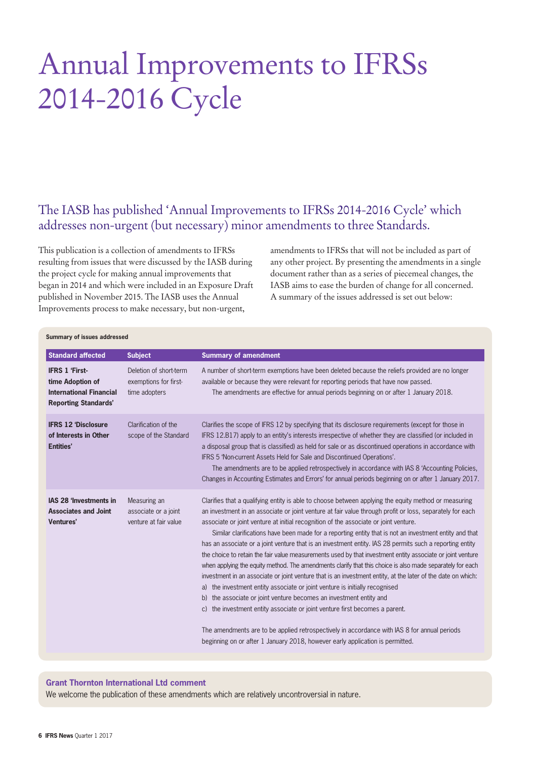# Annual Improvements to IFRSs 2014-2016 Cycle

### The IASB has published 'Annual Improvements to IFRSs 2014-2016 Cycle' which addresses non-urgent (but necessary) minor amendments to three Standards.

This publication is a collection of amendments to IFRSs resulting from issues that were discussed by the IASB during the project cycle for making annual improvements that began in 2014 and which were included in an Exposure Draft published in November 2015. The IASB uses the Annual Improvements process to make necessary, but non-urgent,

amendments to IFRSs that will not be included as part of any other project. By presenting the amendments in a single document rather than as a series of piecemeal changes, the IASB aims to ease the burden of change for all concerned. A summary of the issues addressed is set out below:

| Summary of issues addressed                                                                                |                                                                  |                                                                                                                                                                                                                                                                                                                                                                                                                                                                                                                                                                                                                                                                                                                                                                                                                                                                                                                                                                                                                                                                                                                                                                                                                                                                                                   |  |
|------------------------------------------------------------------------------------------------------------|------------------------------------------------------------------|---------------------------------------------------------------------------------------------------------------------------------------------------------------------------------------------------------------------------------------------------------------------------------------------------------------------------------------------------------------------------------------------------------------------------------------------------------------------------------------------------------------------------------------------------------------------------------------------------------------------------------------------------------------------------------------------------------------------------------------------------------------------------------------------------------------------------------------------------------------------------------------------------------------------------------------------------------------------------------------------------------------------------------------------------------------------------------------------------------------------------------------------------------------------------------------------------------------------------------------------------------------------------------------------------|--|
| <b>Standard affected</b>                                                                                   | <b>Subject</b>                                                   | <b>Summary of amendment</b>                                                                                                                                                                                                                                                                                                                                                                                                                                                                                                                                                                                                                                                                                                                                                                                                                                                                                                                                                                                                                                                                                                                                                                                                                                                                       |  |
| <b>IFRS 1 'First-</b><br>time Adoption of<br><b>International Financial</b><br><b>Reporting Standards'</b> | Deletion of short-term<br>exemptions for first-<br>time adopters | A number of short-term exemptions have been deleted because the reliefs provided are no longer<br>available or because they were relevant for reporting periods that have now passed.<br>The amendments are effective for annual periods beginning on or after 1 January 2018.                                                                                                                                                                                                                                                                                                                                                                                                                                                                                                                                                                                                                                                                                                                                                                                                                                                                                                                                                                                                                    |  |
| <b>IFRS 12 'Disclosure</b><br>of Interests in Other<br>Entities'                                           | Clarification of the<br>scope of the Standard                    | Clarifies the scope of IFRS 12 by specifying that its disclosure requirements (except for those in<br>IFRS 12.B17) apply to an entity's interests irrespective of whether they are classified (or included in<br>a disposal group that is classified) as held for sale or as discontinued operations in accordance with<br>IFRS 5 'Non-current Assets Held for Sale and Discontinued Operations'.<br>The amendments are to be applied retrospectively in accordance with IAS 8 'Accounting Policies,<br>Changes in Accounting Estimates and Errors' for annual periods beginning on or after 1 January 2017.                                                                                                                                                                                                                                                                                                                                                                                                                                                                                                                                                                                                                                                                                      |  |
| <b>IAS 28 'Investments in</b><br><b>Associates and Joint</b><br><b>Ventures'</b>                           | Measuring an<br>associate or a joint<br>venture at fair value    | Clarifies that a qualifying entity is able to choose between applying the equity method or measuring<br>an investment in an associate or joint venture at fair value through profit or loss, separately for each<br>associate or joint venture at initial recognition of the associate or joint venture.<br>Similar clarifications have been made for a reporting entity that is not an investment entity and that<br>has an associate or a joint venture that is an investment entity. IAS 28 permits such a reporting entity<br>the choice to retain the fair value measurements used by that investment entity associate or joint venture<br>when applying the equity method. The amendments clarify that this choice is also made separately for each<br>investment in an associate or joint venture that is an investment entity, at the later of the date on which:<br>a) the investment entity associate or joint venture is initially recognised<br>b) the associate or joint venture becomes an investment entity and<br>the investment entity associate or joint venture first becomes a parent.<br>C)<br>The amendments are to be applied retrospectively in accordance with IAS 8 for annual periods<br>beginning on or after 1 January 2018, however early application is permitted. |  |

#### **Grant Thornton International Ltd comment**

We welcome the publication of these amendments which are relatively uncontroversial in nature.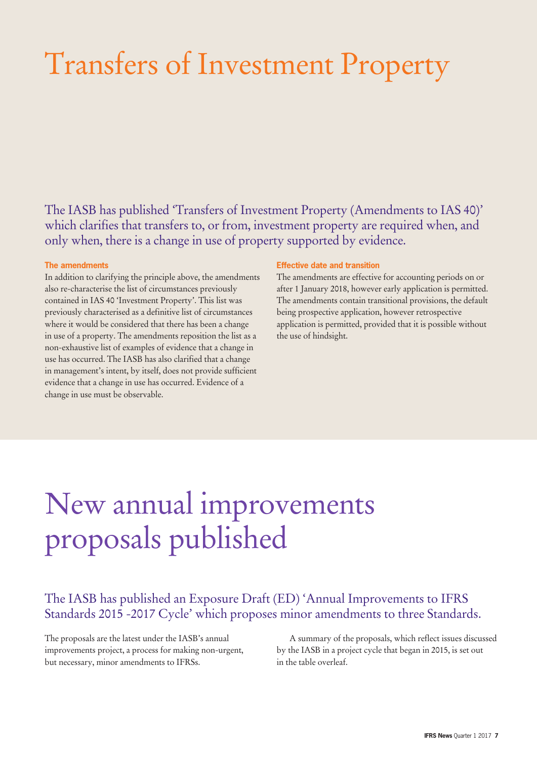# Transfers of Investment Property

The IASB has published 'Transfers of Investment Property (Amendments to IAS 40)' which clarifies that transfers to, or from, investment property are required when, and only when, there is a change in use of property supported by evidence.

### **The amendments**

In addition to clarifying the principle above, the amendments also re-characterise the list of circumstances previously contained in IAS 40 'Investment Property'. This list was previously characterised as a definitive list of circumstances where it would be considered that there has been a change in use of a property. The amendments reposition the list as a non-exhaustive list of examples of evidence that a change in use has occurred. The IASB has also clarified that a change in management's intent, by itself, does not provide sufficient evidence that a change in use has occurred. Evidence of a change in use must be observable.

### **Effective date and transition**

The amendments are effective for accounting periods on or after 1 January 2018, however early application is permitted. The amendments contain transitional provisions, the default being prospective application, however retrospective application is permitted, provided that it is possible without the use of hindsight.

# New annual improvements proposals published

### The IASB has published an Exposure Draft (ED) 'Annual Improvements to IFRS Standards 2015 -2017 Cycle' which proposes minor amendments to three Standards.

The proposals are the latest under the IASB's annual improvements project, a process for making non-urgent, but necessary, minor amendments to IFRSs.

A summary of the proposals, which reflect issues discussed by the IASB in a project cycle that began in 2015, is set out in the table overleaf.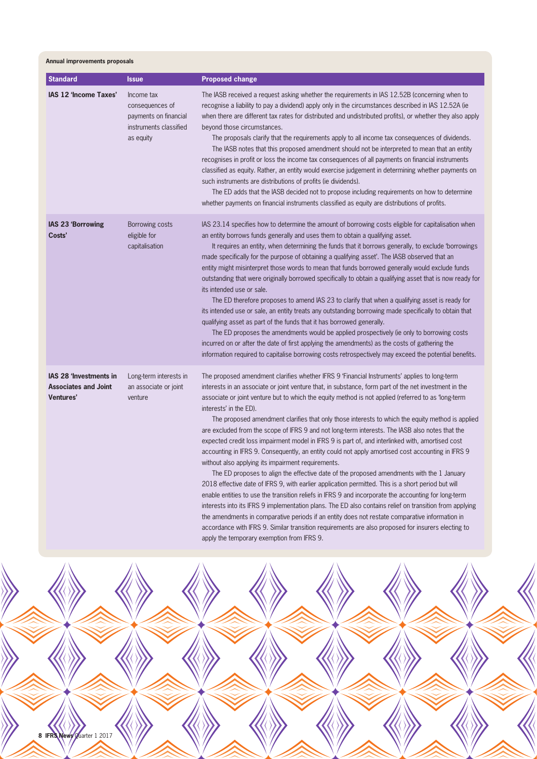**Annual improvements proposals**

| <b>Standard</b>                                                                  | <b>Issue</b>                                                                                  | <b>Proposed change</b>                                                                                                                                                                                                                                                                                                                                                                                                                                                                                                                                                                                                                                                                                                                                                                                                                                                                                                                                                                                                                                                                                                                                                                                                                                                                                                               |
|----------------------------------------------------------------------------------|-----------------------------------------------------------------------------------------------|--------------------------------------------------------------------------------------------------------------------------------------------------------------------------------------------------------------------------------------------------------------------------------------------------------------------------------------------------------------------------------------------------------------------------------------------------------------------------------------------------------------------------------------------------------------------------------------------------------------------------------------------------------------------------------------------------------------------------------------------------------------------------------------------------------------------------------------------------------------------------------------------------------------------------------------------------------------------------------------------------------------------------------------------------------------------------------------------------------------------------------------------------------------------------------------------------------------------------------------------------------------------------------------------------------------------------------------|
| IAS 12 'Income Taxes'                                                            | Income tax<br>consequences of<br>payments on financial<br>instruments classified<br>as equity | The IASB received a request asking whether the requirements in IAS 12.52B (concerning when to<br>recognise a liability to pay a dividend) apply only in the circumstances described in IAS 12.52A (ie<br>when there are different tax rates for distributed and undistributed profits), or whether they also apply<br>beyond those circumstances.<br>The proposals clarify that the requirements apply to all income tax consequences of dividends.<br>The IASB notes that this proposed amendment should not be interpreted to mean that an entity<br>recognises in profit or loss the income tax consequences of all payments on financial instruments<br>classified as equity. Rather, an entity would exercise judgement in determining whether payments on<br>such instruments are distributions of profits (ie dividends).<br>The ED adds that the IASB decided not to propose including requirements on how to determine<br>whether payments on financial instruments classified as equity are distributions of profits.                                                                                                                                                                                                                                                                                                      |
| IAS 23 'Borrowing<br>Costs'                                                      | Borrowing costs<br>eligible for<br>capitalisation                                             | IAS 23.14 specifies how to determine the amount of borrowing costs eligible for capitalisation when<br>an entity borrows funds generally and uses them to obtain a qualifying asset.<br>It requires an entity, when determining the funds that it borrows generally, to exclude 'borrowings<br>made specifically for the purpose of obtaining a qualifying asset. The IASB observed that an<br>entity might misinterpret those words to mean that funds borrowed generally would exclude funds<br>outstanding that were originally borrowed specifically to obtain a qualifying asset that is now ready for<br>its intended use or sale.<br>The ED therefore proposes to amend IAS 23 to clarify that when a qualifying asset is ready for<br>its intended use or sale, an entity treats any outstanding borrowing made specifically to obtain that<br>qualifying asset as part of the funds that it has borrowed generally.<br>The ED proposes the amendments would be applied prospectively (ie only to borrowing costs<br>incurred on or after the date of first applying the amendments) as the costs of gathering the<br>information required to capitalise borrowing costs retrospectively may exceed the potential benefits.                                                                                                  |
| <b>IAS 28 'Investments in</b><br><b>Associates and Joint</b><br><b>Ventures'</b> | Long-term interests in<br>an associate or joint<br>venture                                    | The proposed amendment clarifies whether IFRS 9 'Financial Instruments' applies to long-term<br>interests in an associate or joint venture that, in substance, form part of the net investment in the<br>associate or joint venture but to which the equity method is not applied (referred to as 'long-term<br>interests' in the ED).<br>The proposed amendment clarifies that only those interests to which the equity method is applied<br>are excluded from the scope of IFRS 9 and not long-term interests. The IASB also notes that the<br>expected credit loss impairment model in IFRS 9 is part of, and interlinked with, amortised cost<br>accounting in IFRS 9. Consequently, an entity could not apply amortised cost accounting in IFRS 9<br>without also applying its impairment requirements.<br>The ED proposes to align the effective date of the proposed amendments with the 1 January<br>2018 effective date of IFRS 9, with earlier application permitted. This is a short period but will<br>enable entities to use the transition reliefs in IFRS 9 and incorporate the accounting for long-term<br>interests into its IFRS 9 implementation plans. The ED also contains relief on transition from applying<br>the amendments in comparative periods if an entity does not restate comparative information in |



apply the temporary exemption from IFRS 9.

accordance with IFRS 9. Similar transition requirements are also proposed for insurers electing to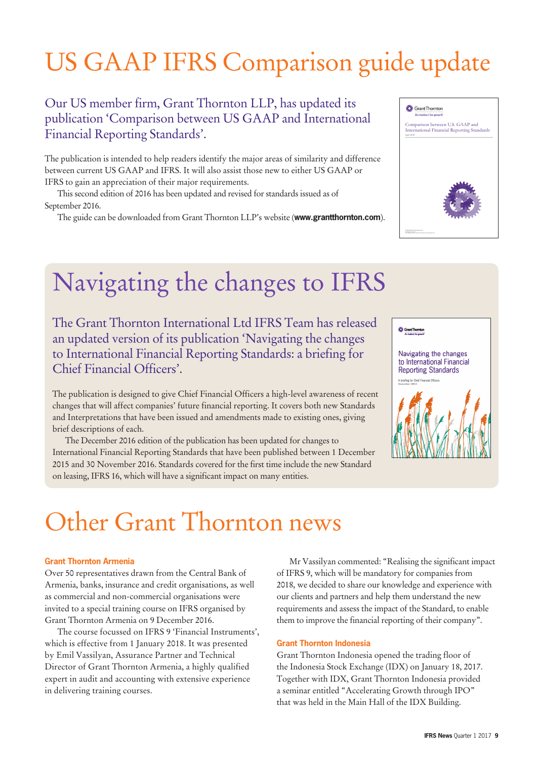# US GAAP IFRS Comparison guide update

### Our US member firm, Grant Thornton LLP, has updated its publication 'Comparison between US GAAP and International Financial Reporting Standards'.

The publication is intended to help readers identify the major areas of similarity and difference between current US GAAP and IFRS. It will also assist those new to either US GAAP or IFRS to gain an appreciation of their major requirements.

This second edition of 2016 has been updated and revised for standards issued as of September 2016.

The guide can be downloaded from Grant Thornton LLP's website (**[www.grantthornton.com](http://www.grantthornton.com)**).

### **O** Grant Thornton

Comparison between U.S. GAAP and International Financial Reporting Standard



### Navigating the changes to IFRS

The Grant Thornton International Ltd IFRS Team has released an updated version of its publication 'Navigating the changes to International Financial Reporting Standards: a briefing for Chief Financial Officers'.

The publication is designed to give Chief Financial Officers a high-level awareness of recent changes that will affect companies' future financial reporting. It covers both new Standards and Interpretations that have been issued and amendments made to existing ones, giving brief descriptions of each.

The December 2016 edition of the publication has been updated for changes to International Financial Reporting Standards that have been published between 1 December 2015 and 30 November 2016. Standards covered for the first time include the new Standard on leasing, IFRS 16, which will have a significant impact on many entities.



Navigating the changes to International Financial **Reporting Standards** 



# Other Grant Thornton news

### **Grant Thornton Armenia**

Over 50 representatives drawn from the Central Bank of Armenia, banks, insurance and credit organisations, as well as commercial and non-commercial organisations were invited to a special training course on IFRS organised by Grant Thornton Armenia on 9 December 2016.

The course focussed on IFRS 9 'Financial Instruments', which is effective from 1 January 2018. It was presented by Emil Vassilyan, Assurance Partner and Technical Director of Grant Thornton Armenia, a highly qualified expert in audit and accounting with extensive experience in delivering training courses.

Mr Vassilyan commented: "Realising the significant impact of IFRS 9, which will be mandatory for companies from 2018, we decided to share our knowledge and experience with our clients and partners and help them understand the new requirements and assess the impact of the Standard, to enable them to improve the financial reporting of their company".

### **Grant Thornton Indonesia**

Grant Thornton Indonesia opened the trading floor of the Indonesia Stock Exchange (IDX) on January 18, 2017. Together with IDX, Grant Thornton Indonesia provided a seminar entitled "Accelerating Growth through IPO" that was held in the Main Hall of the IDX Building.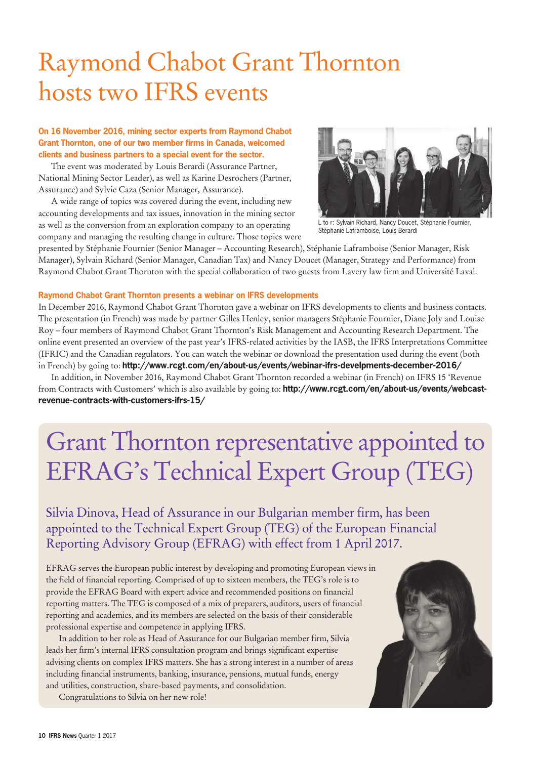### Raymond Chabot Grant Thornton hosts two IFRS events

### **On 16 November 2016, mining sector experts from Raymond Chabot Grant Thornton, one of our two member firms in Canada, welcomed clients and business partners to a special event for the sector.**

The event was moderated by Louis Berardi (Assurance Partner, National Mining Sector Leader), as well as Karine Desrochers (Partner, Assurance) and Sylvie Caza (Senior Manager, Assurance).

A wide range of topics was covered during the event, including new accounting developments and tax issues, innovation in the mining sector as well as the conversion from an exploration company to an operating company and managing the resulting change in culture. Those topics were



L to r: Sylvain Richard, Nancy Doucet, Stéphanie Fournier, Stéphanie Laframboise, Louis Berardi

presented by Stéphanie Fournier (Senior Manager – Accounting Research), Stéphanie Laframboise (Senior Manager, Risk Manager), Sylvain Richard (Senior Manager, Canadian Tax) and Nancy Doucet (Manager, Strategy and Performance) from Raymond Chabot Grant Thornton with the special collaboration of two guests from Lavery law firm and Université Laval.

### **Raymond Chabot Grant Thornton presents a webinar on IFRS developments**

In December 2016, Raymond Chabot Grant Thornton gave a webinar on IFRS developments to clients and business contacts. The presentation (in French) was made by partner Gilles Henley, senior managers Stéphanie Fournier, Diane Joly and Louise Roy – four members of Raymond Chabot Grant Thornton's Risk Management and Accounting Research Department. The online event presented an overview of the past year's IFRS-related activities by the IASB, the IFRS Interpretations Committee (IFRIC) and the Canadian regulators. You can watch the webinar or download the presentation used during the event (both in French) by going to: **<http://www.rcgt.com/en/about-us/events/webinar-ifrs-develpments-december-2016/>**

In addition, in November 2016, Raymond Chabot Grant Thornton recorded a webinar (in French) on IFRS 15 'Revenue from Contracts with Customers' which is also available by going to: **[http://www.rcgt.com/en/about-us/events/webcast](http://www.rcgt.com/en/about-us/events/webcast-revenue-contracts-with-customers-ifrs-15/)[revenue-contracts-with-customers-ifrs-15/](http://www.rcgt.com/en/about-us/events/webcast-revenue-contracts-with-customers-ifrs-15/)**

### Grant Thornton representative appointed to EFRAG's Technical Expert Group (TEG)

Silvia Dinova, Head of Assurance in our Bulgarian member firm, has been appointed to the Technical Expert Group (TEG) of the European Financial Reporting Advisory Group (EFRAG) with effect from 1 April 2017.

EFRAG serves the European public interest by developing and promoting European views in the field of financial reporting. Comprised of up to sixteen members, the TEG's role is to provide the EFRAG Board with expert advice and recommended positions on financial reporting matters. The TEG is composed of a mix of preparers, auditors, users of financial reporting and academics, and its members are selected on the basis of their considerable professional expertise and competence in applying IFRS.

In addition to her role as Head of Assurance for our Bulgarian member firm, Silvia leads her firm's internal IFRS consultation program and brings significant expertise advising clients on complex IFRS matters. She has a strong interest in a number of areas including financial instruments, banking, insurance, pensions, mutual funds, energy and utilities, construction, share-based payments, and consolidation.

Congratulations to Silvia on her new role!

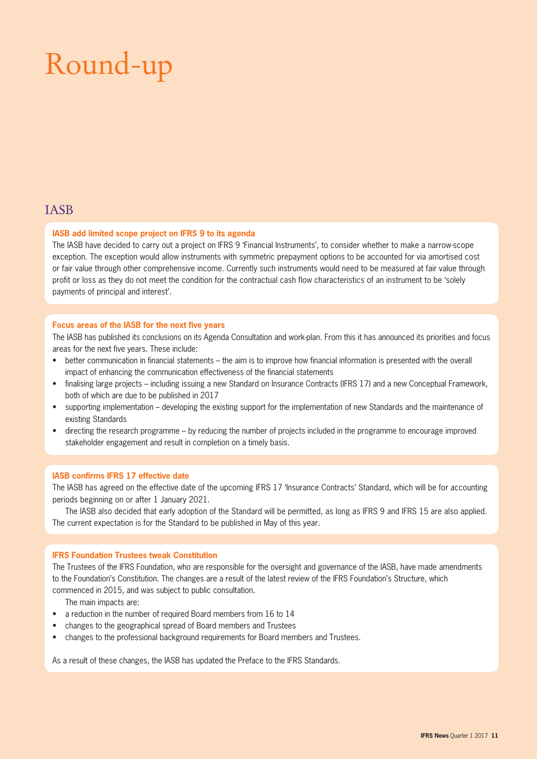# Round-up

### IASB

### **IASB add limited scope project on IFRS 9 to its agenda**

The IASB have decided to carry out a project on IFRS 9 'Financial Instruments', to consider whether to make a narrow-scope exception. The exception would allow instruments with symmetric prepayment options to be accounted for via amortised cost or fair value through other comprehensive income. Currently such instruments would need to be measured at fair value through profit or loss as they do not meet the condition for the contractual cash flow characteristics of an instrument to be 'solely payments of principal and interest'.

### **Focus areas of the IASB for the next five years**

The IASB has published its conclusions on its Agenda Consultation and work-plan. From this it has announced its priorities and focus areas for the next five years. These include:

- better communication in financial statements the aim is to improve how financial information is presented with the overall impact of enhancing the communication effectiveness of the financial statements
- finalising large projects including issuing a new Standard on Insurance Contracts (IFRS 17) and a new Conceptual Framework, both of which are due to be published in 2017
- supporting implementation developing the existing support for the implementation of new Standards and the maintenance of existing Standards
- directing the research programme by reducing the number of projects included in the programme to encourage improved stakeholder engagement and result in completion on a timely basis.

### **IASB confirms IFRS 17 effective date**

The IASB has agreed on the effective date of the upcoming IFRS 17 'Insurance Contracts' Standard, which will be for accounting periods beginning on or after 1 January 2021.

The IASB also decided that early adoption of the Standard will be permitted, as long as IFRS 9 and IFRS 15 are also applied. The current expectation is for the Standard to be published in May of this year.

### **IFRS Foundation Trustees tweak Constitution**

The Trustees of the IFRS Foundation, who are responsible for the oversight and governance of the IASB, have made amendments to the Foundation's Constitution. The changes are a result of the latest review of the IFRS Foundation's Structure, which commenced in 2015, and was subject to public consultation.

The main impacts are:

- a reduction in the number of required Board members from 16 to 14
- changes to the geographical spread of Board members and Trustees
- changes to the professional background requirements for Board members and Trustees.

As a result of these changes, the IASB has updated the Preface to the IFRS Standards.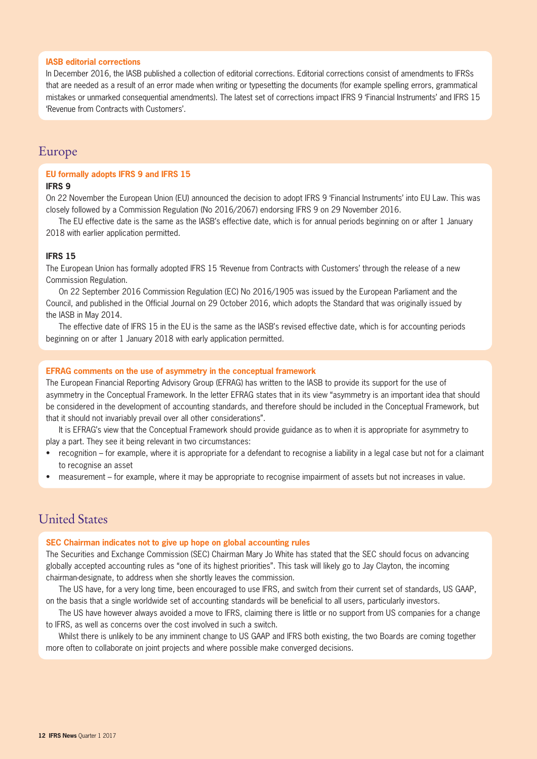### **IASB editorial corrections**

In December 2016, the IASB published a collection of editorial corrections. Editorial corrections consist of amendments to IFRSs that are needed as a result of an error made when writing or typesetting the documents (for example spelling errors, grammatical mistakes or unmarked consequential amendments). The latest set of corrections impact IFRS 9 'Financial Instruments' and IFRS 15 'Revenue from Contracts with Customers'.

### Europe

### **EU formally adopts IFRS 9 and IFRS 15**

### **IFRS 9**

On 22 November the European Union (EU) announced the decision to adopt IFRS 9 'Financial Instruments' into EU Law. This was closely followed by a Commission Regulation (No 2016/2067) endorsing IFRS 9 on 29 November 2016.

The EU effective date is the same as the IASB's effective date, which is for annual periods beginning on or after 1 January 2018 with earlier application permitted.

### **IFRS 15**

The European Union has formally adopted IFRS 15 'Revenue from Contracts with Customers' through the release of a new Commission Regulation.

On 22 September 2016 Commission Regulation (EC) No 2016/1905 was issued by the European Parliament and the Council, and published in the Official Journal on 29 October 2016, which adopts the Standard that was originally issued by the IASB in May 2014.

The effective date of IFRS 15 in the EU is the same as the IASB's revised effective date, which is for accounting periods beginning on or after 1 January 2018 with early application permitted.

### **EFRAG comments on the use of asymmetry in the conceptual framework**

The European Financial Reporting Advisory Group (EFRAG) has written to the IASB to provide its support for the use of asymmetry in the Conceptual Framework. In the letter EFRAG states that in its view "asymmetry is an important idea that should be considered in the development of accounting standards, and therefore should be included in the Conceptual Framework, but that it should not invariably prevail over all other considerations".

It is EFRAG's view that the Conceptual Framework should provide guidance as to when it is appropriate for asymmetry to play a part. They see it being relevant in two circumstances:

- recognition for example, where it is appropriate for a defendant to recognise a liability in a legal case but not for a claimant to recognise an asset
- measurement for example, where it may be appropriate to recognise impairment of assets but not increases in value.

### United States

### **SEC Chairman indicates not to give up hope on global accounting rules**

The Securities and Exchange Commission (SEC) Chairman Mary Jo White has stated that the SEC should focus on advancing globally accepted accounting rules as "one of its highest priorities". This task will likely go to Jay Clayton, the incoming chairman-designate, to address when she shortly leaves the commission.

The US have, for a very long time, been encouraged to use IFRS, and switch from their current set of standards, US GAAP, on the basis that a single worldwide set of accounting standards will be beneficial to all users, particularly investors.

The US have however always avoided a move to IFRS, claiming there is little or no support from US companies for a change to IFRS, as well as concerns over the cost involved in such a switch.

Whilst there is unlikely to be any imminent change to US GAAP and IFRS both existing, the two Boards are coming together more often to collaborate on joint projects and where possible make converged decisions.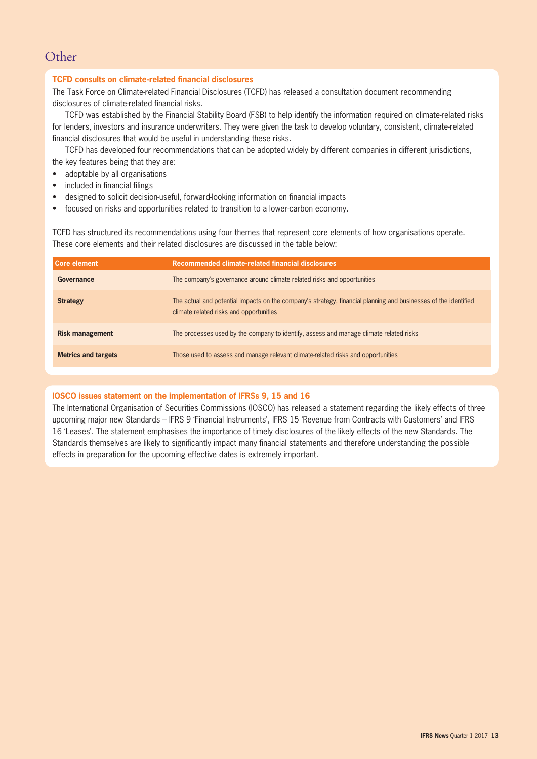### **Other**

### **TCFD consults on climate-related financial disclosures**

The Task Force on Climate-related Financial Disclosures (TCFD) has released a consultation document recommending disclosures of climate-related financial risks.

TCFD was established by the Financial Stability Board (FSB) to help identify the information required on climate-related risks for lenders, investors and insurance underwriters. They were given the task to develop voluntary, consistent, climate-related financial disclosures that would be useful in understanding these risks.

TCFD has developed four recommendations that can be adopted widely by different companies in different jurisdictions, the key features being that they are:

- adoptable by all organisations
- included in financial filings
- designed to solicit decision-useful, forward-looking information on financial impacts
- focused on risks and opportunities related to transition to a lower-carbon economy.

TCFD has structured its recommendations using four themes that represent core elements of how organisations operate. These core elements and their related disclosures are discussed in the table below:

| Core element               | Recommended climate-related financial disclosures                                                                                                          |
|----------------------------|------------------------------------------------------------------------------------------------------------------------------------------------------------|
| Governance                 | The company's governance around climate related risks and opportunities                                                                                    |
| <b>Strategy</b>            | The actual and potential impacts on the company's strategy, financial planning and businesses of the identified<br>climate related risks and opportunities |
| <b>Risk management</b>     | The processes used by the company to identify, assess and manage climate related risks                                                                     |
| <b>Metrics and targets</b> | Those used to assess and manage relevant climate-related risks and opportunities                                                                           |

### **IOSCO issues statement on the implementation of IFRSs 9, 15 and 16**

The International Organisation of Securities Commissions (IOSCO) has released a statement regarding the likely effects of three upcoming major new Standards – IFRS 9 'Financial Instruments', IFRS 15 'Revenue from Contracts with Customers' and IFRS 16 'Leases'. The statement emphasises the importance of timely disclosures of the likely effects of the new Standards. The Standards themselves are likely to significantly impact many financial statements and therefore understanding the possible effects in preparation for the upcoming effective dates is extremely important.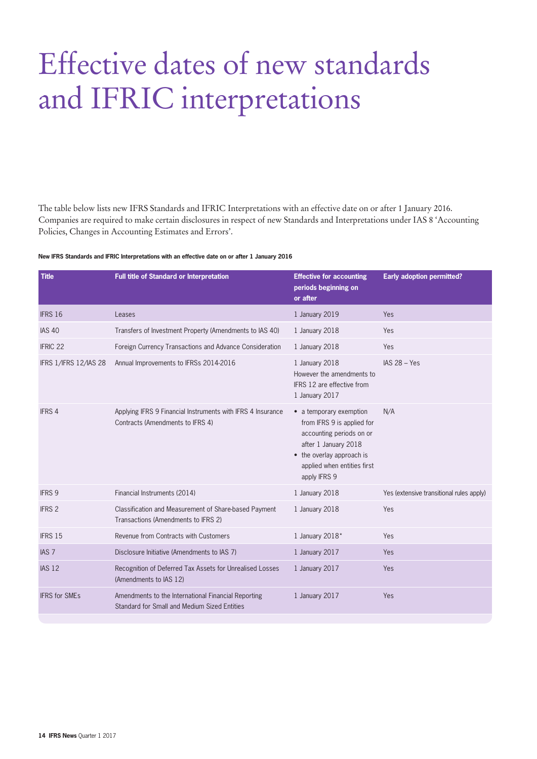# Effective dates of new standards and IFRIC interpretations

The table below lists new IFRS Standards and IFRIC Interpretations with an effective date on or after 1 January 2016. Companies are required to make certain disclosures in respect of new Standards and Interpretations under IAS 8 'Accounting Policies, Changes in Accounting Estimates and Errors'.

#### **New IFRS Standards and IFRIC Interpretations with an effective date on or after 1 January 2016**

| <b>Title</b>          | Full title of Standard or Interpretation                                                            | <b>Effective for accounting</b><br>periods beginning on<br>or after                                                                                                                   | <b>Early adoption permitted?</b>         |
|-----------------------|-----------------------------------------------------------------------------------------------------|---------------------------------------------------------------------------------------------------------------------------------------------------------------------------------------|------------------------------------------|
| <b>IFRS 16</b>        | Leases                                                                                              | 1 January 2019                                                                                                                                                                        | Yes                                      |
| <b>IAS 40</b>         | Transfers of Investment Property (Amendments to IAS 40)                                             | 1 January 2018                                                                                                                                                                        | Yes                                      |
| <b>IFRIC 22</b>       | Foreign Currency Transactions and Advance Consideration                                             | 1 January 2018                                                                                                                                                                        | Yes                                      |
| IFRS 1/IFRS 12/IAS 28 | Annual Improvements to IFRSs 2014-2016                                                              | 1 January 2018<br>However the amendments to<br>IFRS 12 are effective from<br>1 January 2017                                                                                           | $IAS 28 - Yes$                           |
| <b>IFRS 4</b>         | Applying IFRS 9 Financial Instruments with IFRS 4 Insurance<br>Contracts (Amendments to IFRS 4)     | • a temporary exemption<br>from IFRS 9 is applied for<br>accounting periods on or<br>after 1 January 2018<br>• the overlay approach is<br>applied when entities first<br>apply IFRS 9 | N/A                                      |
| <b>IFRS 9</b>         | Financial Instruments (2014)                                                                        | 1 January 2018                                                                                                                                                                        | Yes (extensive transitional rules apply) |
| <b>IFRS 2</b>         | Classification and Measurement of Share-based Payment<br>Transactions (Amendments to IFRS 2)        | 1 January 2018                                                                                                                                                                        | Yes                                      |
| <b>IFRS 15</b>        | Revenue from Contracts with Customers                                                               | 1 January 2018*                                                                                                                                                                       | Yes                                      |
| IAS <sub>7</sub>      | Disclosure Initiative (Amendments to IAS 7)                                                         | 1 January 2017                                                                                                                                                                        | Yes                                      |
| <b>IAS 12</b>         | Recognition of Deferred Tax Assets for Unrealised Losses<br>(Amendments to IAS 12)                  | 1 January 2017                                                                                                                                                                        | Yes                                      |
| <b>IFRS for SMEs</b>  | Amendments to the International Financial Reporting<br>Standard for Small and Medium Sized Entities | 1 January 2017                                                                                                                                                                        | Yes                                      |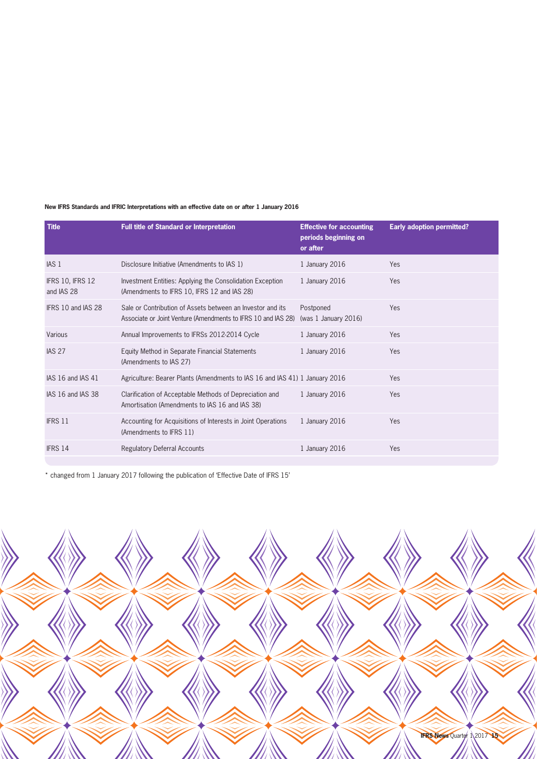### **New IFRS Standards and IFRIC Interpretations with an effective date on or after 1 January 2016**

| <b>Title</b>                          | <b>Full title of Standard or Interpretation</b>                                                                             | <b>Effective for accounting</b><br>periods beginning on<br>or after | <b>Early adoption permitted?</b> |
|---------------------------------------|-----------------------------------------------------------------------------------------------------------------------------|---------------------------------------------------------------------|----------------------------------|
| IAS <sub>1</sub>                      | Disclosure Initiative (Amendments to IAS 1)                                                                                 | 1 January 2016                                                      | Yes                              |
| <b>IFRS 10, IFRS 12</b><br>and IAS 28 | Investment Entities: Applying the Consolidation Exception<br>(Amendments to IFRS 10, IFRS 12 and IAS 28)                    | 1 January 2016                                                      | Yes                              |
| IFRS 10 and IAS 28                    | Sale or Contribution of Assets between an Investor and its<br>Associate or Joint Venture (Amendments to IFRS 10 and IAS 28) | Postponed<br>(was 1 January 2016)                                   | Yes                              |
| Various                               | Annual Improvements to IFRSs 2012-2014 Cycle                                                                                | 1 January 2016                                                      | Yes                              |
| <b>IAS 27</b>                         | Equity Method in Separate Financial Statements<br>(Amendments to IAS 27)                                                    | 1 January 2016                                                      | Yes                              |
| IAS 16 and IAS 41                     | Agriculture: Bearer Plants (Amendments to IAS 16 and IAS 41) 1 January 2016                                                 |                                                                     | Yes                              |
| IAS 16 and IAS 38                     | Clarification of Acceptable Methods of Depreciation and<br>Amortisation (Amendments to IAS 16 and IAS 38)                   | 1 January 2016                                                      | Yes                              |
| <b>IFRS 11</b>                        | Accounting for Acquisitions of Interests in Joint Operations<br>(Amendments to IFRS 11)                                     | 1 January 2016                                                      | Yes                              |
| IFRS 14                               | <b>Regulatory Deferral Accounts</b>                                                                                         | 1 January 2016                                                      | Yes                              |

\* changed from 1 January 2017 following the publication of 'Effective Date of IFRS 15'